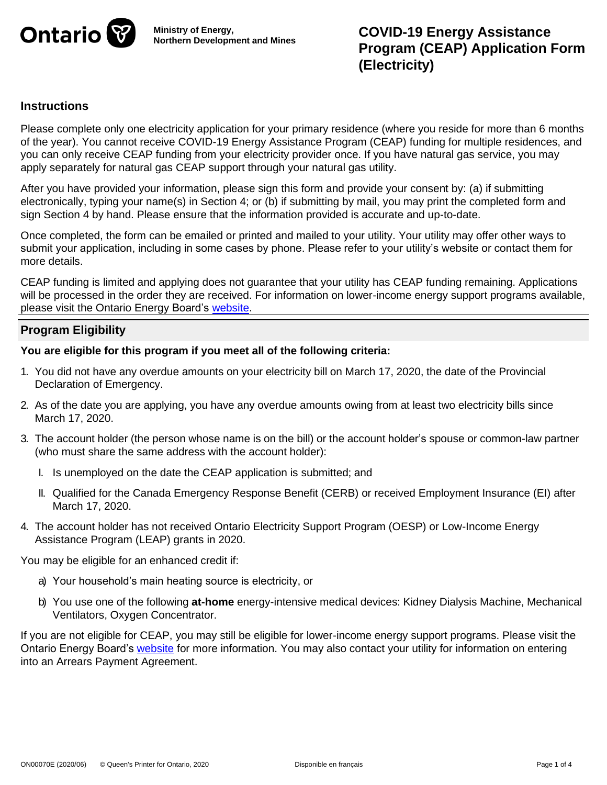

**Ministry of Energy, Northern Development and Mines**

# **Instructions**

Please complete only one electricity application for your primary residence (where you reside for more than 6 months of the year). You cannot receive COVID-19 Energy Assistance Program (CEAP) funding for multiple residences, and you can only receive CEAP funding from your electricity provider once. If you have natural gas service, you may apply separately for natural gas CEAP support through your natural gas utility.

After you have provided your information, please sign this form and provide your consent by: (a) if submitting electronically, typing your name(s) in Section 4; or (b) if submitting by mail, you may print the completed form and sign Section 4 by hand. Please ensure that the information provided is accurate and up-to-date.

Once completed, the form can be emailed or printed and mailed to your utility. Your utility may offer other ways to submit your application, including in some cases by phone. Please refer to your utility's website or contact them for more details.

CEAP funding is limited and applying does not guarantee that your utility has CEAP funding remaining. Applications will be processed in the order they are received. For information on lower-income energy support programs available, please visit the Ontario Energy Board's website.

# **Program Eligibility**

**You are eligible for this program if you meet all of the following criteria:**

- 1. You did not have any overdue amounts on your electricity bill on March 17, 2020, the date of the Provincial Declaration of Emergency.
- 2. As of the date you are applying, you have any overdue amounts owing from at least two electricity bills since March 17, 2020.
- 3. The account holder (the person whose name is on the bill) or the account holder's spouse or common-law partner (who must share the same address with the account holder):
	- I. Is unemployed on the date the CEAP application is submitted; and
	- II. Qualified for the Canada Emergency Response Benefit (CERB) or received Employment Insurance (EI) after March 17, 2020.
- 4. The account holder has not received Ontario Electricity Support Program (OESP) or Low-Income Energy Assistance Program (LEAP) grants in 2020.

You may be eligible for an enhanced credit if:

- a) Your household's main heating source is electricity, or
- b) You use one of the following **at-home** energy-intensive medical devices: Kidney Dialysis Machine, Mechanical Ventilators, Oxygen Concentrator.

If you are not eligible for CEAP, you may still be eligible for lower-income energy support programs. Please visit the Ontario Energy Board's website for more information. You may also contact your utility for information on entering into an Arrears Payment Agreement.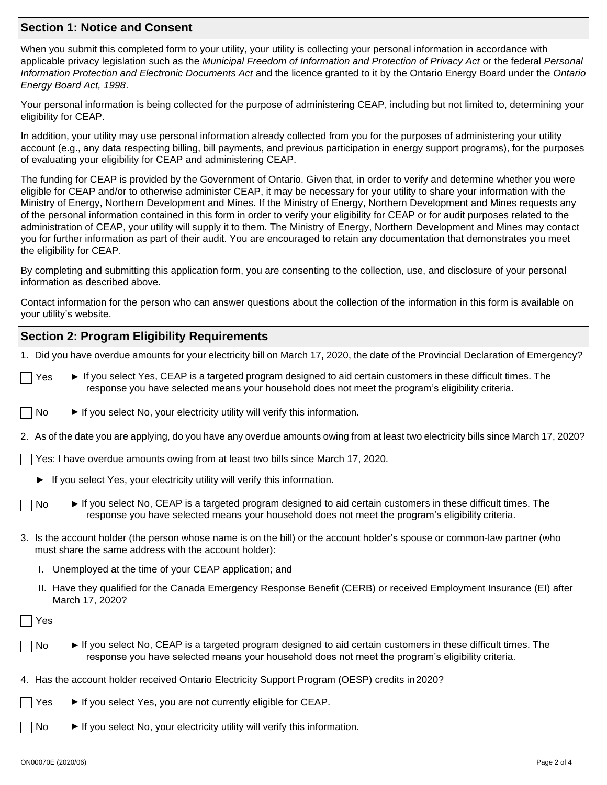#### **Section 1: Notice and Consent**

When you submit this completed form to your utility, your utility is collecting your personal information in accordance with applicable privacy legislation such as the *Municipal Freedom of Information and Protection of Privacy Act* or the federal *Personal Information Protection and Electronic Documents Act* and the licence granted to it by the Ontario Energy Board under the *Ontario Energy Board Act, 1998*.

Your personal information is being collected for the purpose of administering CEAP, including but not limited to, determining your eligibility for CEAP.

In addition, your utility may use personal information already collected from you for the purposes of administering your utility account (e.g., any data respecting billing, bill payments, and previous participation in energy support programs), for the purposes of evaluating your eligibility for CEAP and administering CEAP.

The funding for CEAP is provided by the Government of Ontario. Given that, in order to verify and determine whether you were eligible for CEAP and/or to otherwise administer CEAP, it may be necessary for your utility to share your information with the Ministry of Energy, Northern Development and Mines. If the Ministry of Energy, Northern Development and Mines requests any of the personal information contained in this form in order to verify your eligibility for CEAP or for audit purposes related to the administration of CEAP, your utility will supply it to them. The Ministry of Energy, Northern Development and Mines may contact you for further information as part of their audit. You are encouraged to retain any documentation that demonstrates you meet the eligibility for CEAP.

By completing and submitting this application form, you are consenting to the collection, use, and disclosure of your personal information as described above.

Contact information for the person who can answer questions about the collection of the information in this form is available on your utility's website.

# **Section 2: Program Eligibility Requirements**

1. Did you have overdue amounts for your electricity bill on March 17, 2020, the date of the Provincial Declaration of Emergency?

- Yes ► If you select Yes, CEAP is a targeted program designed to aid certain customers in these difficult times. The response you have selected means your household does not meet the program's eligibility criteria.
- $\Box$  No  $\blacktriangleright$  If you select No, your electricity utility will verify this information.
- 2. As of the date you are applying, do you have any overdue amounts owing from at least two electricity bills since March 17, 2020?
- Yes: I have overdue amounts owing from at least two bills since March 17, 2020.
	- If you select Yes, your electricity utility will verify this information.
	- No ► If you select No, CEAP is a targeted program designed to aid certain customers in these difficult times. The response you have selected means your household does not meet the program's eligibility criteria.
- 3. Is the account holder (the person whose name is on the bill) or the account holder's spouse or common-law partner (who must share the same address with the account holder):
	- I. Unemployed at the time of your CEAP application; and
	- II. Have they qualified for the Canada Emergency Response Benefit (CERB) or received Employment Insurance (EI) after March 17, 2020?

Yes

- No ► If you select No, CEAP is a targeted program designed to aid certain customers in these difficult times. The response you have selected means your household does not meet the program's eligibility criteria.
- 4. Has the account holder received Ontario Electricity Support Program (OESP) credits in 2020?
	- Yes ► If you select Yes, you are not currently eligible for CEAP.
		- No ► If you select No, your electricity utility will verify this information.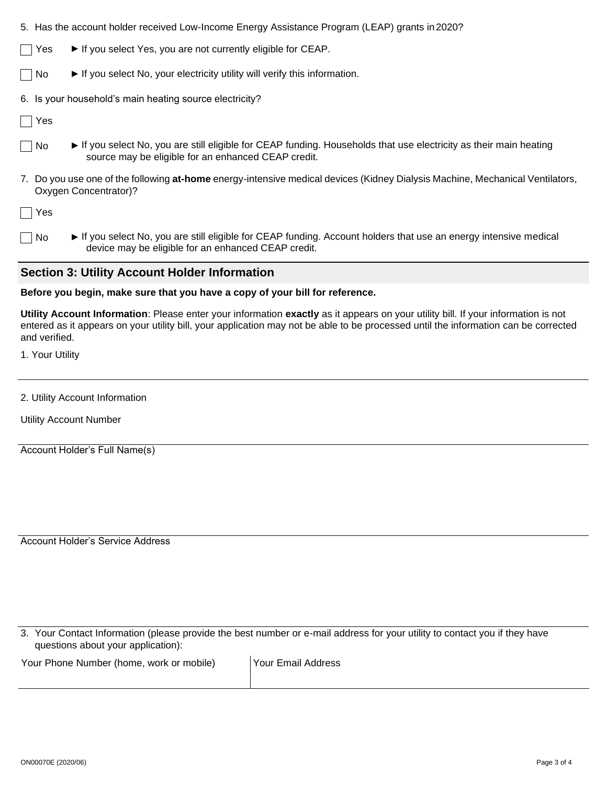5. Has the account holder received Low-Income Energy Assistance Program (LEAP) grants in2020?

 $\triangledown$  Yes  $\blacktriangleright$  If you select Yes, you are not currently eligible for CEAP.

No ► If you select No, your electricity utility will verify this information.

6. Is your household's main heating source electricity?

Yes

- No ► If you select No, you are still eligible for CEAP funding. Households that use electricity as their main heating source may be eligible for an enhanced CEAP credit.
- 7. Do you use one of the following **at-home** energy-intensive medical devices (Kidney Dialysis Machine, Mechanical Ventilators, Oxygen Concentrator)?

Yes

No ► If you select No, you are still eligible for CEAP funding. Account holders that use an energy intensive medical device may be eligible for an enhanced CEAP credit.

#### **Section 3: Utility Account Holder Information**

#### **Before you begin, make sure that you have a copy of your bill for reference.**

**Utility Account Information**: Please enter your information **exactly** as it appears on your utility bill. If your information is not entered as it appears on your utility bill, your application may not be able to be processed until the information can be corrected and verified.

1. Your Utility

2. Utility Account Information

Utility Account Number

Account Holder's Full Name(s)

Account Holder's Service Address

3. Your Contact Information (please provide the best number or e-mail address for your utility to contact you if they have questions about your application):

Your Phone Number (home, work or mobile) | Your Email Address